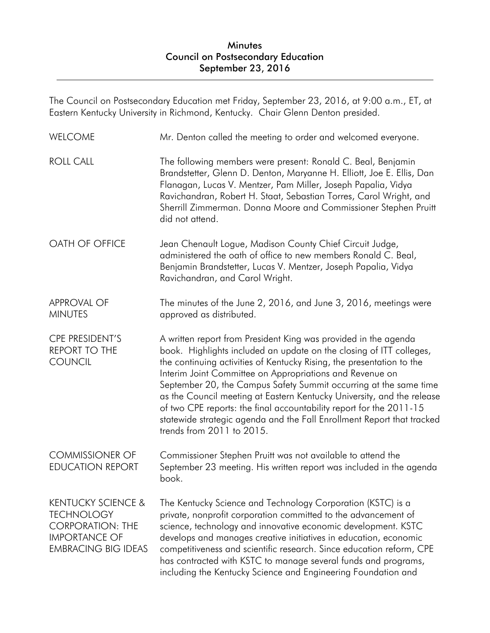The Council on Postsecondary Education met Friday, September 23, 2016, at 9:00 a.m., ET, at Eastern Kentucky University in Richmond, Kentucky. Chair Glenn Denton presided.

| <b>WELCOME</b>                                                                                                                      | Mr. Denton called the meeting to order and welcomed everyone.                                                                                                                                                                                                                                                                                                                                                                                                                                                                                                                                            |
|-------------------------------------------------------------------------------------------------------------------------------------|----------------------------------------------------------------------------------------------------------------------------------------------------------------------------------------------------------------------------------------------------------------------------------------------------------------------------------------------------------------------------------------------------------------------------------------------------------------------------------------------------------------------------------------------------------------------------------------------------------|
| <b>ROLL CALL</b>                                                                                                                    | The following members were present: Ronald C. Beal, Benjamin<br>Brandstetter, Glenn D. Denton, Maryanne H. Elliott, Joe E. Ellis, Dan<br>Flanagan, Lucas V. Mentzer, Pam Miller, Joseph Papalia, Vidya<br>Ravichandran, Robert H. Staat, Sebastian Torres, Carol Wright, and<br>Sherrill Zimmerman. Donna Moore and Commissioner Stephen Pruitt<br>did not attend.                                                                                                                                                                                                                                       |
| OATH OF OFFICE                                                                                                                      | Jean Chenault Logue, Madison County Chief Circuit Judge,<br>administered the oath of office to new members Ronald C. Beal,<br>Benjamin Brandstetter, Lucas V. Mentzer, Joseph Papalia, Vidya<br>Ravichandran, and Carol Wright.                                                                                                                                                                                                                                                                                                                                                                          |
| <b>APPROVAL OF</b><br><b>MINUTES</b>                                                                                                | The minutes of the June 2, 2016, and June 3, 2016, meetings were<br>approved as distributed.                                                                                                                                                                                                                                                                                                                                                                                                                                                                                                             |
| CPE PRESIDENT'S<br><b>REPORT TO THE</b><br><b>COUNCIL</b>                                                                           | A written report from President King was provided in the agenda<br>book. Highlights included an update on the closing of ITT colleges,<br>the continuing activities of Kentucky Rising, the presentation to the<br>Interim Joint Committee on Appropriations and Revenue on<br>September 20, the Campus Safety Summit occurring at the same time<br>as the Council meeting at Eastern Kentucky University, and the release<br>of two CPE reports: the final accountability report for the 2011-15<br>statewide strategic agenda and the Fall Enrollment Report that tracked<br>trends from 2011 to 2015. |
| <b>COMMISSIONER OF</b><br><b>EDUCATION REPORT</b>                                                                                   | Commissioner Stephen Pruitt was not available to attend the<br>September 23 meeting. His written report was included in the agenda<br>book.                                                                                                                                                                                                                                                                                                                                                                                                                                                              |
| <b>KENTUCKY SCIENCE &amp;</b><br><b>TECHNOLOGY</b><br><b>CORPORATION: THE</b><br><b>IMPORTANCE OF</b><br><b>EMBRACING BIG IDEAS</b> | The Kentucky Science and Technology Corporation (KSTC) is a<br>private, nonprofit corporation committed to the advancement of<br>science, technology and innovative economic development. KSTC<br>develops and manages creative initiatives in education, economic<br>competitiveness and scientific research. Since education reform, CPE<br>has contracted with KSTC to manage several funds and programs,<br>including the Kentucky Science and Engineering Foundation and                                                                                                                            |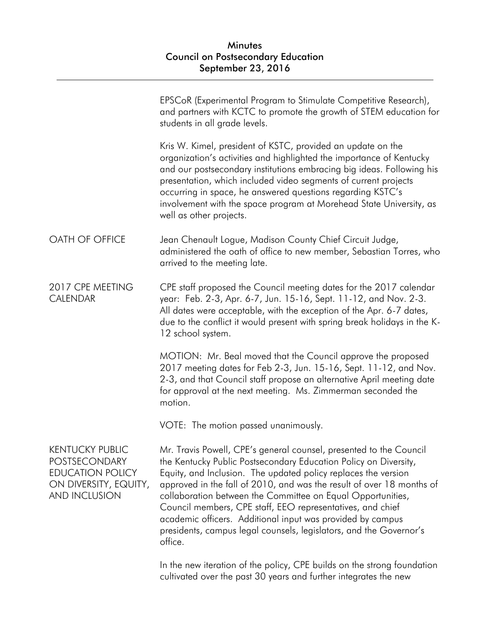|                                                                                                                            | EPSCoR (Experimental Program to Stimulate Competitive Research),<br>and partners with KCTC to promote the growth of STEM education for<br>students in all grade levels.                                                                                                                                                                                                                                                                                                                                                                                       |
|----------------------------------------------------------------------------------------------------------------------------|---------------------------------------------------------------------------------------------------------------------------------------------------------------------------------------------------------------------------------------------------------------------------------------------------------------------------------------------------------------------------------------------------------------------------------------------------------------------------------------------------------------------------------------------------------------|
|                                                                                                                            | Kris W. Kimel, president of KSTC, provided an update on the<br>organization's activities and highlighted the importance of Kentucky<br>and our postsecondary institutions embracing big ideas. Following his<br>presentation, which included video segments of current projects<br>occurring in space, he answered questions regarding KSTC's<br>involvement with the space program at Morehead State University, as<br>well as other projects.                                                                                                               |
| OATH OF OFFICE                                                                                                             | Jean Chenault Logue, Madison County Chief Circuit Judge,<br>administered the oath of office to new member, Sebastian Torres, who<br>arrived to the meeting late.                                                                                                                                                                                                                                                                                                                                                                                              |
| 2017 CPE MEETING<br><b>CALENDAR</b>                                                                                        | CPE staff proposed the Council meeting dates for the 2017 calendar<br>year: Feb. 2-3, Apr. 6-7, Jun. 15-16, Sept. 11-12, and Nov. 2-3.<br>All dates were acceptable, with the exception of the Apr. 6-7 dates,<br>due to the conflict it would present with spring break holidays in the K-<br>12 school system.                                                                                                                                                                                                                                              |
|                                                                                                                            | MOTION: Mr. Beal moved that the Council approve the proposed<br>2017 meeting dates for Feb 2-3, Jun. 15-16, Sept. 11-12, and Nov.<br>2-3, and that Council staff propose an alternative April meeting date<br>for approval at the next meeting. Ms. Zimmerman seconded the<br>motion.                                                                                                                                                                                                                                                                         |
|                                                                                                                            | VOTE: The motion passed unanimously.                                                                                                                                                                                                                                                                                                                                                                                                                                                                                                                          |
| <b>KENTUCKY PUBLIC</b><br><b>POSTSECONDARY</b><br><b>EDUCATION POLICY</b><br>ON DIVERSITY, EQUITY,<br><b>AND INCLUSION</b> | Mr. Travis Powell, CPE's general counsel, presented to the Council<br>the Kentucky Public Postsecondary Education Policy on Diversity,<br>Equity, and Inclusion. The updated policy replaces the version<br>approved in the fall of 2010, and was the result of over 18 months of<br>collaboration between the Committee on Equal Opportunities,<br>Council members, CPE staff, EEO representatives, and chief<br>academic officers. Additional input was provided by campus<br>presidents, campus legal counsels, legislators, and the Governor's<br>office. |
|                                                                                                                            | In the new iteration of the policy, CPE builds on the strong foundation                                                                                                                                                                                                                                                                                                                                                                                                                                                                                       |

cultivated over the past 30 years and further integrates the new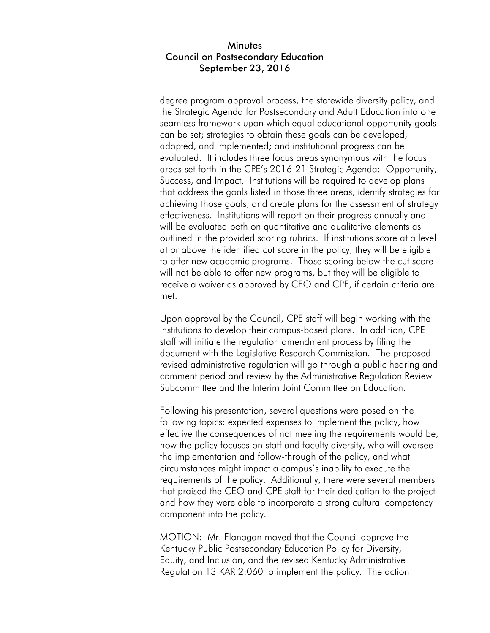degree program approval process, the statewide diversity policy, and the Strategic Agenda for Postsecondary and Adult Education into one seamless framework upon which equal educational opportunity goals can be set; strategies to obtain these goals can be developed, adopted, and implemented; and institutional progress can be evaluated. It includes three focus areas synonymous with the focus areas set forth in the CPE's 2016-21 Strategic Agenda: Opportunity, Success, and Impact. Institutions will be required to develop plans that address the goals listed in those three areas, identify strategies for achieving those goals, and create plans for the assessment of strategy effectiveness. Institutions will report on their progress annually and will be evaluated both on quantitative and qualitative elements as outlined in the provided scoring rubrics. If institutions score at a level at or above the identified cut score in the policy, they will be eligible to offer new academic programs. Those scoring below the cut score will not be able to offer new programs, but they will be eligible to receive a waiver as approved by CEO and CPE, if certain criteria are met.

Upon approval by the Council, CPE staff will begin working with the institutions to develop their campus-based plans. In addition, CPE staff will initiate the regulation amendment process by filing the document with the Legislative Research Commission. The proposed revised administrative regulation will go through a public hearing and comment period and review by the Administrative Regulation Review Subcommittee and the Interim Joint Committee on Education.

Following his presentation, several questions were posed on the following topics: expected expenses to implement the policy, how effective the consequences of not meeting the requirements would be, how the policy focuses on staff and faculty diversity, who will oversee the implementation and follow-through of the policy, and what circumstances might impact a campus's inability to execute the requirements of the policy. Additionally, there were several members that praised the CEO and CPE staff for their dedication to the project and how they were able to incorporate a strong cultural competency component into the policy.

MOTION: Mr. Flanagan moved that the Council approve the Kentucky Public Postsecondary Education Policy for Diversity, Equity, and Inclusion, and the revised Kentucky Administrative Regulation 13 KAR 2:060 to implement the policy. The action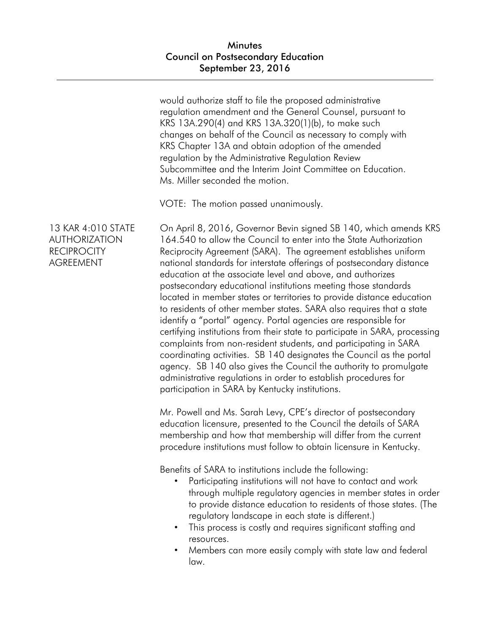would authorize staff to file the proposed administrative regulation amendment and the General Counsel, pursuant to KRS 13A.290(4) and KRS 13A.320(1)(b), to make such changes on behalf of the Council as necessary to comply with KRS Chapter 13A and obtain adoption of the amended regulation by the Administrative Regulation Review Subcommittee and the Interim Joint Committee on Education. Ms. Miller seconded the motion.

VOTE: The motion passed unanimously.

13 KAR 4:010 STATE AUTHORIZATION **RECIPROCITY** AGREEMENT

On April 8, 2016, Governor Bevin signed SB 140, which amends KRS 164.540 to allow the Council to enter into the State Authorization Reciprocity Agreement (SARA). The agreement establishes uniform national standards for interstate offerings of postsecondary distance education at the associate level and above, and authorizes postsecondary educational institutions meeting those standards located in member states or territories to provide distance education to residents of other member states. SARA also requires that a state identify a "portal" agency. Portal agencies are responsible for certifying institutions from their state to participate in SARA, processing complaints from non-resident students, and participating in SARA coordinating activities. SB 140 designates the Council as the portal agency. SB 140 also gives the Council the authority to promulgate administrative regulations in order to establish procedures for participation in SARA by Kentucky institutions.

Mr. Powell and Ms. Sarah Levy, CPE's director of postsecondary education licensure, presented to the Council the details of SARA membership and how that membership will differ from the current procedure institutions must follow to obtain licensure in Kentucky.

Benefits of SARA to institutions include the following:

- Participating institutions will not have to contact and work through multiple regulatory agencies in member states in order to provide distance education to residents of those states. (The regulatory landscape in each state is different.)
- This process is costly and requires significant staffing and resources.
- Members can more easily comply with state law and federal law.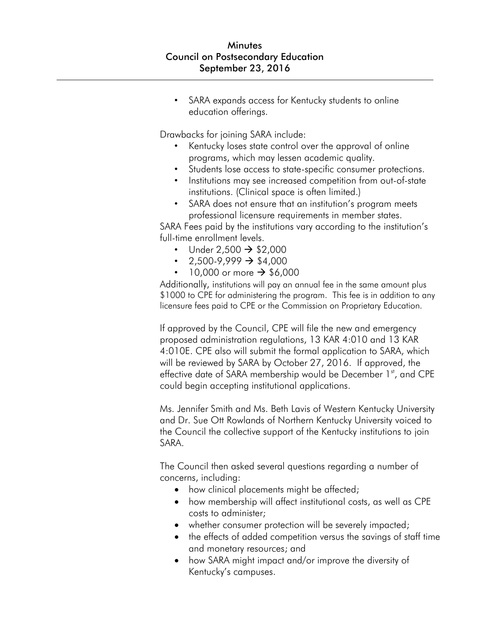SARA expands access for Kentucky students to online education offerings.

Drawbacks for joining SARA include:

- Kentucky loses state control over the approval of online programs, which may lessen academic quality.
- Students lose access to state-specific consumer protections.
- Institutions may see increased competition from out-of-state institutions. (Clinical space is often limited.)
- SARA does not ensure that an institution's program meets professional licensure requirements in member states.

SARA Fees paid by the institutions vary according to the institution's full-time enrollment levels.

- Under  $2,500 \rightarrow $2,000$
- $2,500-9,999 \rightarrow $4,000$
- 10,000 or more  $\rightarrow$  \$6,000

Additionally, institutions will pay an annual fee in the same amount plus \$1000 to CPE for administering the program. This fee is in addition to any licensure fees paid to CPE or the Commission on Proprietary Education.

If approved by the Council, CPE will file the new and emergency proposed administration regulations, 13 KAR 4:010 and 13 KAR 4:010E. CPE also will submit the formal application to SARA, which will be reviewed by SARA by October 27, 2016. If approved, the effective date of SARA membership would be December 1<sup>st</sup>, and CPE could begin accepting institutional applications.

Ms. Jennifer Smith and Ms. Beth Lavis of Western Kentucky University and Dr. Sue Ott Rowlands of Northern Kentucky University voiced to the Council the collective support of the Kentucky institutions to join SARA.

The Council then asked several questions regarding a number of concerns, including:

- how clinical placements might be affected;
- how membership will affect institutional costs, as well as CPE costs to administer;
- whether consumer protection will be severely impacted;
- the effects of added competition versus the savings of staff time and monetary resources; and
- how SARA might impact and/or improve the diversity of Kentucky's campuses.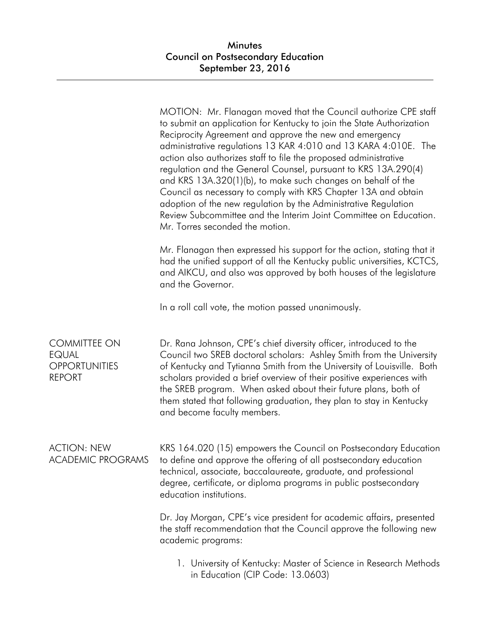|                                                                              | MOTION: Mr. Flanagan moved that the Council authorize CPE staff<br>to submit an application for Kentucky to join the State Authorization<br>Reciprocity Agreement and approve the new and emergency<br>administrative regulations 13 KAR 4:010 and 13 KARA 4:010E. The<br>action also authorizes staff to file the proposed administrative<br>regulation and the General Counsel, pursuant to KRS 13A.290(4)<br>and KRS 13A.320(1)(b), to make such changes on behalf of the<br>Council as necessary to comply with KRS Chapter 13A and obtain<br>adoption of the new regulation by the Administrative Regulation<br>Review Subcommittee and the Interim Joint Committee on Education.<br>Mr. Torres seconded the motion. |
|------------------------------------------------------------------------------|---------------------------------------------------------------------------------------------------------------------------------------------------------------------------------------------------------------------------------------------------------------------------------------------------------------------------------------------------------------------------------------------------------------------------------------------------------------------------------------------------------------------------------------------------------------------------------------------------------------------------------------------------------------------------------------------------------------------------|
|                                                                              | Mr. Flanagan then expressed his support for the action, stating that it<br>had the unified support of all the Kentucky public universities, KCTCS,<br>and AIKCU, and also was approved by both houses of the legislature<br>and the Governor.                                                                                                                                                                                                                                                                                                                                                                                                                                                                             |
|                                                                              | In a roll call vote, the motion passed unanimously.                                                                                                                                                                                                                                                                                                                                                                                                                                                                                                                                                                                                                                                                       |
| <b>COMMITTEE ON</b><br><b>EQUAL</b><br><b>OPPORTUNITIES</b><br><b>REPORT</b> | Dr. Rana Johnson, CPE's chief diversity officer, introduced to the<br>Council two SREB doctoral scholars: Ashley Smith from the University<br>of Kentucky and Tytianna Smith from the University of Louisville. Both<br>scholars provided a brief overview of their positive experiences with<br>the SREB program. When asked about their future plans, both of<br>them stated that following graduation, they plan to stay in Kentucky<br>and become faculty members.                                                                                                                                                                                                                                                    |
| <b>ACTION: NEW</b><br><b>ACADEMIC PROGRAMS</b>                               | KRS 164.020 (15) empowers the Council on Postsecondary Education<br>to define and approve the offering of all postsecondary education<br>technical, associate, baccalaureate, graduate, and professional<br>degree, certificate, or diploma programs in public postsecondary<br>education institutions.                                                                                                                                                                                                                                                                                                                                                                                                                   |
|                                                                              | Dr. Jay Morgan, CPE's vice president for academic affairs, presented<br>the staff recommendation that the Council approve the following new<br>academic programs:                                                                                                                                                                                                                                                                                                                                                                                                                                                                                                                                                         |
|                                                                              | 1. University of Kentucky: Master of Science in Research Methods<br>in Education (CIP Code: 13.0603)                                                                                                                                                                                                                                                                                                                                                                                                                                                                                                                                                                                                                      |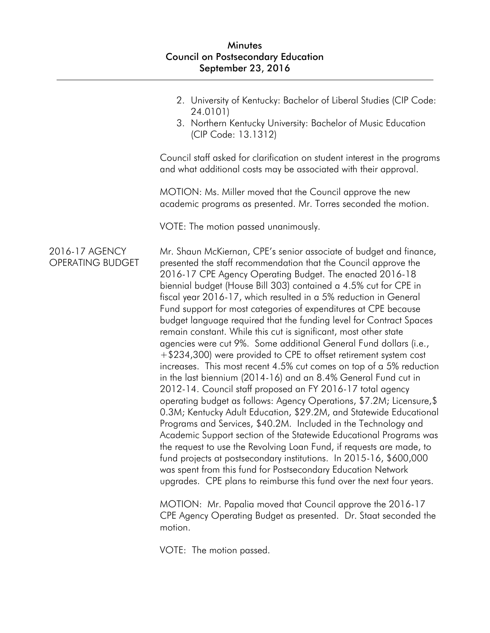|                                    | 2. University of Kentucky: Bachelor of Liberal Studies (CIP Code:<br>24.0101)<br>3. Northern Kentucky University: Bachelor of Music Education<br>(CIP Code: 13.1312)                                                                                                                                                                                                                                                                                                                                                                                                                                                                                                                                                                                                                                                                                                                                                                                                                                                                                                                                                                                                                                                                                                                                                                                                                                                                                                                  |
|------------------------------------|---------------------------------------------------------------------------------------------------------------------------------------------------------------------------------------------------------------------------------------------------------------------------------------------------------------------------------------------------------------------------------------------------------------------------------------------------------------------------------------------------------------------------------------------------------------------------------------------------------------------------------------------------------------------------------------------------------------------------------------------------------------------------------------------------------------------------------------------------------------------------------------------------------------------------------------------------------------------------------------------------------------------------------------------------------------------------------------------------------------------------------------------------------------------------------------------------------------------------------------------------------------------------------------------------------------------------------------------------------------------------------------------------------------------------------------------------------------------------------------|
|                                    | Council staff asked for clarification on student interest in the programs<br>and what additional costs may be associated with their approval.                                                                                                                                                                                                                                                                                                                                                                                                                                                                                                                                                                                                                                                                                                                                                                                                                                                                                                                                                                                                                                                                                                                                                                                                                                                                                                                                         |
|                                    | MOTION: Ms. Miller moved that the Council approve the new<br>academic programs as presented. Mr. Torres seconded the motion.                                                                                                                                                                                                                                                                                                                                                                                                                                                                                                                                                                                                                                                                                                                                                                                                                                                                                                                                                                                                                                                                                                                                                                                                                                                                                                                                                          |
|                                    | VOTE: The motion passed unanimously.                                                                                                                                                                                                                                                                                                                                                                                                                                                                                                                                                                                                                                                                                                                                                                                                                                                                                                                                                                                                                                                                                                                                                                                                                                                                                                                                                                                                                                                  |
| 2016-17 AGENCY<br>OPERATING BUDGET | Mr. Shaun McKiernan, CPE's senior associate of budget and finance,<br>presented the staff recommendation that the Council approve the<br>2016-17 CPE Agency Operating Budget. The enacted 2016-18<br>biennial budget (House Bill 303) contained a 4.5% cut for CPE in<br>fiscal year 2016-17, which resulted in a 5% reduction in General<br>Fund support for most categories of expenditures at CPE because<br>budget language required that the funding level for Contract Spaces<br>remain constant. While this cut is significant, most other state<br>agencies were cut 9%. Some additional General Fund dollars (i.e.,<br>+\$234,300) were provided to CPE to offset retirement system cost<br>increases. This most recent 4.5% cut comes on top of a 5% reduction<br>in the last biennium (2014-16) and an 8.4% General Fund cut in<br>2012-14. Council staff proposed an FY 2016-17 total agency<br>operating budget as follows: Agency Operations, \$7.2M; Licensure, \$<br>0.3M; Kentucky Adult Education, \$29.2M, and Statewide Educational<br>Programs and Services, \$40.2M. Included in the Technology and<br>Academic Support section of the Statewide Educational Programs was<br>the request to use the Revolving Loan Fund, if requests are made, to<br>fund projects at postsecondary institutions. In 2015-16, \$600,000<br>was spent from this fund for Postsecondary Education Network<br>upgrades. CPE plans to reimburse this fund over the next four years. |
|                                    | $MOTION: Mr. Ronald moved that Council on prove the 2016.17$                                                                                                                                                                                                                                                                                                                                                                                                                                                                                                                                                                                                                                                                                                                                                                                                                                                                                                                                                                                                                                                                                                                                                                                                                                                                                                                                                                                                                          |

MOTION: Mr. Papalia moved that Council approve the 2016-17 CPE Agency Operating Budget as presented. Dr. Staat seconded the motion.

VOTE: The motion passed.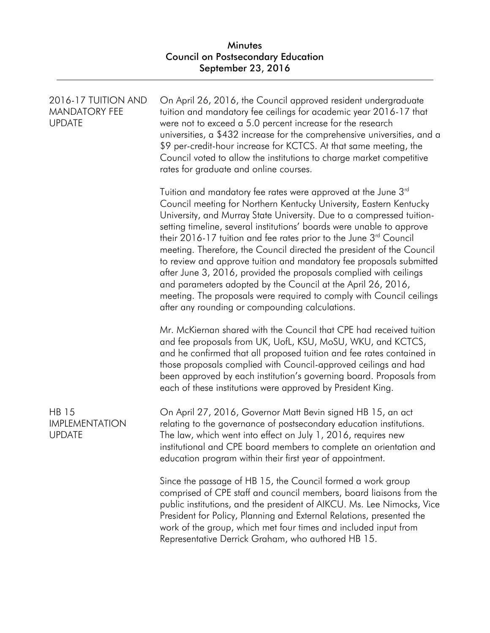| 2016-17 TUITION AND<br><b>MANDATORY FEE</b><br><b>UPDATE</b> | On April 26, 2016, the Council approved resident undergraduate<br>tuition and mandatory fee ceilings for academic year 2016-17 that<br>were not to exceed a 5.0 percent increase for the research<br>universities, a \$432 increase for the comprehensive universities, and a<br>\$9 per-credit-hour increase for KCTCS. At that same meeting, the<br>Council voted to allow the institutions to charge market competitive<br>rates for graduate and online courses.                                                                                                                                                                                                                                                                                                                   |
|--------------------------------------------------------------|----------------------------------------------------------------------------------------------------------------------------------------------------------------------------------------------------------------------------------------------------------------------------------------------------------------------------------------------------------------------------------------------------------------------------------------------------------------------------------------------------------------------------------------------------------------------------------------------------------------------------------------------------------------------------------------------------------------------------------------------------------------------------------------|
|                                                              | Tuition and mandatory fee rates were approved at the June 3rd<br>Council meeting for Northern Kentucky University, Eastern Kentucky<br>University, and Murray State University. Due to a compressed tuition-<br>setting timeline, several institutions' boards were unable to approve<br>their 2016-17 tuition and fee rates prior to the June 3 <sup>rd</sup> Council<br>meeting. Therefore, the Council directed the president of the Council<br>to review and approve tuition and mandatory fee proposals submitted<br>after June 3, 2016, provided the proposals complied with ceilings<br>and parameters adopted by the Council at the April 26, 2016,<br>meeting. The proposals were required to comply with Council ceilings<br>after any rounding or compounding calculations. |
|                                                              | Mr. McKiernan shared with the Council that CPE had received tuition<br>and fee proposals from UK, UofL, KSU, MoSU, WKU, and KCTCS,<br>and he confirmed that all proposed tuition and fee rates contained in<br>those proposals complied with Council-approved ceilings and had<br>been approved by each institution's governing board. Proposals from<br>each of these institutions were approved by President King.                                                                                                                                                                                                                                                                                                                                                                   |
| <b>HB 15</b><br><b>IMPLEMENTATION</b><br><b>UPDATE</b>       | On April 27, 2016, Governor Matt Bevin signed HB 15, an act<br>relating to the governance of postsecondary education institutions.<br>The law, which went into effect on July 1, 2016, requires new<br>institutional and CPE board members to complete an orientation and<br>education program within their first year of appointment.                                                                                                                                                                                                                                                                                                                                                                                                                                                 |
|                                                              | Since the passage of HB 15, the Council formed a work group<br>comprised of CPE staff and council members, board liaisons from the<br>public institutions, and the president of AIKCU. Ms. Lee Nimocks, Vice<br>President for Policy, Planning and External Relations, presented the<br>work of the group, which met four times and included input from<br>Representative Derrick Graham, who authored HB 15.                                                                                                                                                                                                                                                                                                                                                                          |